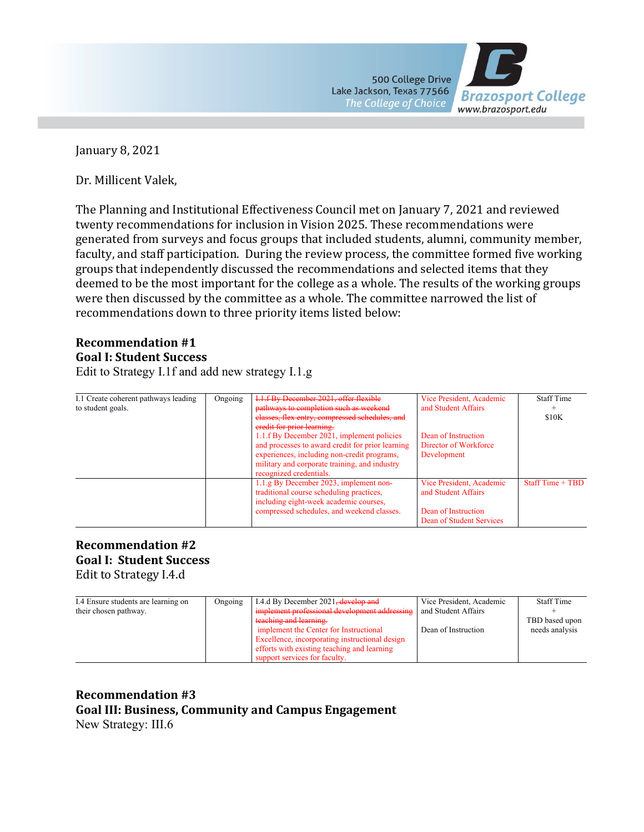

January 8, 2021

Dr. Millicent Valek,

The Planning and Institutional Effectiveness Council met on January 7, 2021 and reviewed twenty recommendations for inclusion in Vision 2025. These recommendations were generated from surveys and focus groups that included students, alumni, community member, faculty, and staff participation. During the review process, the committee formed five working groups that independently discussed the recommendations and selected items that they deemed to be the most important for the college as a whole. The results of the working groups were then discussed by the committee as a whole. The committee narrowed the list of recommendations down to three priority items listed below:

#### **Recommendation #1 Goal I: Student Success**

Edit to Strategy I.1f and add new strategy I.1.g

| I.1 Create coherent pathways leading | Ongoing | I.1.f By December 2021, offer flexible                                       | Vice President, Academic | <b>Staff Time</b> |
|--------------------------------------|---------|------------------------------------------------------------------------------|--------------------------|-------------------|
| to student goals.                    |         | pathways to completion such as weekend                                       | and Student Affairs      |                   |
|                                      |         | elasses, flex entry, compressed schedules, and<br>eredit for prior learning. |                          | \$10K             |
|                                      |         | 1.1.f By December 2021, implement policies                                   | Dean of Instruction      |                   |
|                                      |         | and processes to award credit for prior learning                             | Director of Workforce    |                   |
|                                      |         | experiences, including non-credit programs,                                  | Development              |                   |
|                                      |         | military and corporate training, and industry<br>recognized credentials.     |                          |                   |
|                                      |         | 1.1.g By December 2023, implement non-                                       | Vice President, Academic | $StartTime + TBD$ |
|                                      |         | traditional course scheduling practices,                                     | and Student Affairs      |                   |
|                                      |         | including eight-week academic courses,                                       |                          |                   |
|                                      |         | compressed schedules, and weekend classes.                                   | Dean of Instruction      |                   |
|                                      |         |                                                                              | Dean of Student Services |                   |

### **Recommendation #2 Goal I: Student Success** Edit to Strategy I.4.d

| I.4 Ensure students are learning on | Ongoing | I.4.d By December 2021 <del>, develop and</del> | Vice President, Academic | <b>Staff Time</b> |
|-------------------------------------|---------|-------------------------------------------------|--------------------------|-------------------|
|                                     |         |                                                 |                          |                   |
| their chosen pathway.               |         | implement professional development addressing   | and Student Affairs      |                   |
|                                     |         | teaching and learning.                          |                          | TBD based upon    |
|                                     |         | implement the Center for Instructional          | Dean of Instruction      | needs analysis    |
|                                     |         | Excellence, incorporating instructional design  |                          |                   |
|                                     |         | efforts with existing teaching and learning     |                          |                   |
|                                     |         | support services for faculty.                   |                          |                   |

# **Recommendation #3 Goal III: Business, Community and Campus Engagement**

New Strategy: III.6